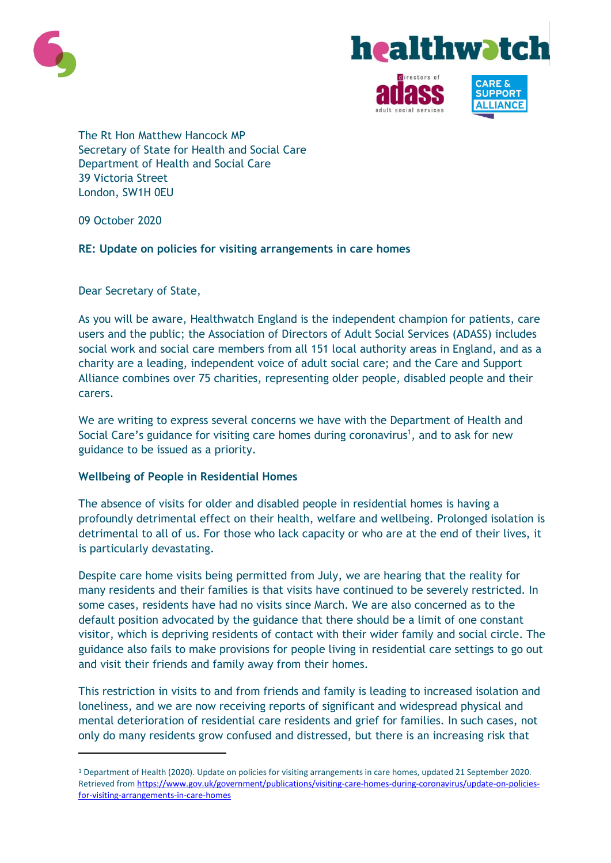



**SUPPORT** 

The Rt Hon Matthew Hancock MP Secretary of State for Health and Social Care Department of Health and Social Care 39 Victoria Street London, SW1H 0EU

09 October 2020

 $\overline{\phantom{a}}$ 

# **RE: Update on policies for visiting arrangements in care homes**

Dear Secretary of State,

As you will be aware, Healthwatch England is the independent champion for patients, care users and the public; the Association of Directors of Adult Social Services (ADASS) includes social work and social care members from all 151 local authority areas in England, and as a charity are a leading, independent voice of adult social care; and the Care and Support Alliance combines over 75 charities, representing older people, disabled people and their carers.

We are writing to express several concerns we have with the Department of Health and Social Care's guidance for visiting care homes during coronavirus<sup>1</sup>, and to ask for new guidance to be issued as a priority.

## **Wellbeing of People in Residential Homes**

The absence of visits for older and disabled people in residential homes is having a profoundly detrimental effect on their health, welfare and wellbeing. Prolonged isolation is detrimental to all of us. For those who lack capacity or who are at the end of their lives, it is particularly devastating.

Despite care home visits being permitted from July, we are hearing that the reality for many residents and their families is that visits have continued to be severely restricted. In some cases, residents have had no visits since March. We are also concerned as to the default position advocated by the guidance that there should be a limit of one constant visitor, which is depriving residents of contact with their wider family and social circle. The guidance also fails to make provisions for people living in residential care settings to go out and visit their friends and family away from their homes.

This restriction in visits to and from friends and family is leading to increased isolation and loneliness, and we are now receiving reports of significant and widespread physical and mental deterioration of residential care residents and grief for families. In such cases, not only do many residents grow confused and distressed, but there is an increasing risk that

<sup>1</sup> Department of Health (2020). Update on policies for visiting arrangements in care homes, updated 21 September 2020. Retrieved from [https://www.gov.uk/government/publications/visiting-care-homes-during-coronavirus/update-on-policies](https://www.gov.uk/government/publications/visiting-care-homes-during-coronavirus/update-on-policies-for-visiting-arrangements-in-care-homes)[for-visiting-arrangements-in-care-homes](https://www.gov.uk/government/publications/visiting-care-homes-during-coronavirus/update-on-policies-for-visiting-arrangements-in-care-homes)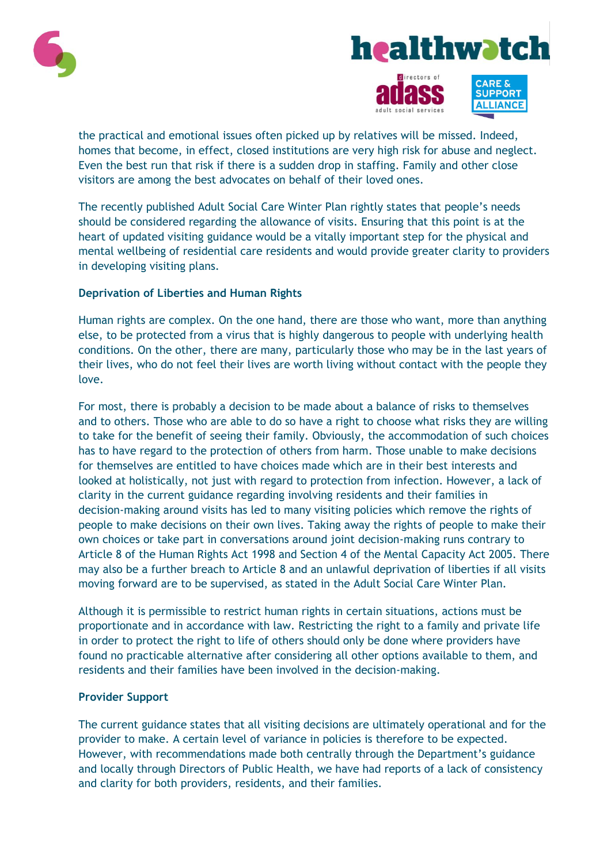





the practical and emotional issues often picked up by relatives will be missed. Indeed, homes that become, in effect, closed institutions are very high risk for abuse and neglect. Even the best run that risk if there is a sudden drop in staffing. Family and other close visitors are among the best advocates on behalf of their loved ones.

The recently published Adult Social Care Winter Plan rightly states that people's needs should be considered regarding the allowance of visits. Ensuring that this point is at the heart of updated visiting guidance would be a vitally important step for the physical and mental wellbeing of residential care residents and would provide greater clarity to providers in developing visiting plans.

## **Deprivation of Liberties and Human Rights**

Human rights are complex. On the one hand, there are those who want, more than anything else, to be protected from a virus that is highly dangerous to people with underlying health conditions. On the other, there are many, particularly those who may be in the last years of their lives, who do not feel their lives are worth living without contact with the people they love.

For most, there is probably a decision to be made about a balance of risks to themselves and to others. Those who are able to do so have a right to choose what risks they are willing to take for the benefit of seeing their family. Obviously, the accommodation of such choices has to have regard to the protection of others from harm. Those unable to make decisions for themselves are entitled to have choices made which are in their best interests and looked at holistically, not just with regard to protection from infection. However, a lack of clarity in the current guidance regarding involving residents and their families in decision-making around visits has led to many visiting policies which remove the rights of people to make decisions on their own lives. Taking away the rights of people to make their own choices or take part in conversations around joint decision-making runs contrary to Article 8 of the Human Rights Act 1998 and Section 4 of the Mental Capacity Act 2005. There may also be a further breach to Article 8 and an unlawful deprivation of liberties if all visits moving forward are to be supervised, as stated in the Adult Social Care Winter Plan.

Although it is permissible to restrict human rights in certain situations, actions must be proportionate and in accordance with law. Restricting the right to a family and private life in order to protect the right to life of others should only be done where providers have found no practicable alternative after considering all other options available to them, and residents and their families have been involved in the decision-making.

## **Provider Support**

The current guidance states that all visiting decisions are ultimately operational and for the provider to make. A certain level of variance in policies is therefore to be expected. However, with recommendations made both centrally through the Department's guidance and locally through Directors of Public Health, we have had reports of a lack of consistency and clarity for both providers, residents, and their families.